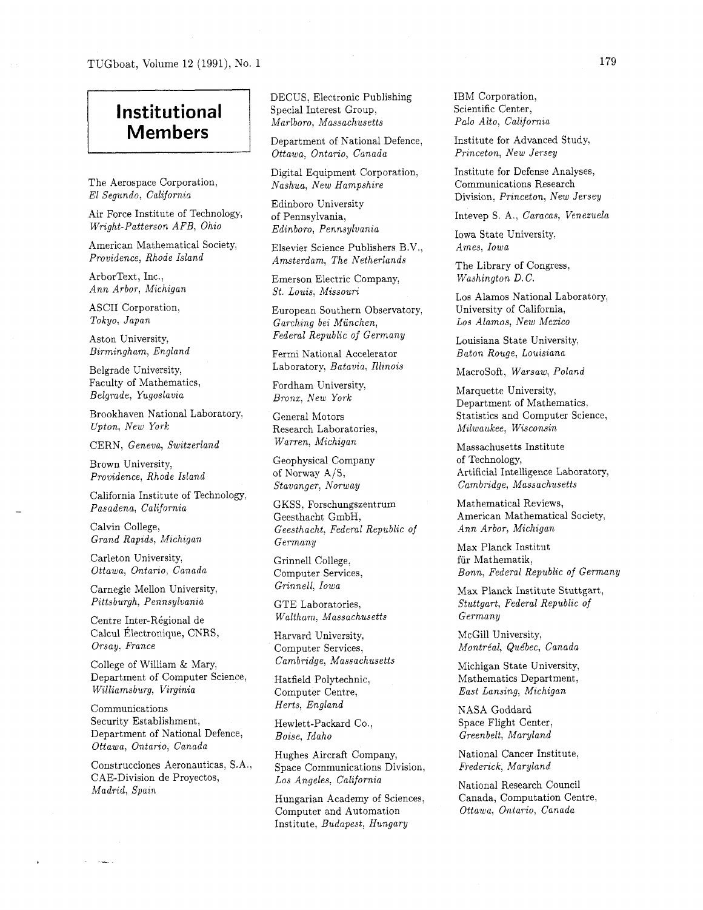TUGboat, Volume 12 (1991), No. 1

## **Institutional Members**

The Aerospace Corporation, El Segundo, California

Air Force Institute of Technology, Wright-Patterson AFB, Ohio

American Mathematical Society, Providence, Rhode Island

ArborText, Inc., Ann Arbor, Michigan

ASCII Corporation, Tokyo, Japan

Aston University, Birmingham, England

Belgrade University, Faculty of Mathematics, Belgrade, Yugoslavia

Brookhaven National Laboratory, Upton, New York

CERN, Geneva, Switzerland

Brown University, Providence, Rhode Island

California Institute of Technology, Pasadena, California

Calvin College, Grand Rapids, Michigan

Carleton University, Ottawa, Ontario, Canada

Carnegie Mellon University, Pittsburgh, Pennsylvania

Centre Inter-R6gional de Calcul Électronique, CNRS, Orsay. France

College of William & Mary, Department of Computer Science, Wilhamsburg, Virginia

Communications Security Establishment, Department of National Defence, Ottawa, Ontario, Canada

Construcciones Aeronauticas, S.A., CAE-Division de Proyectos, Madrid, Spain

DECUS, Electronic Publishing Special Interest Group, Marlboro, Massachusetts

Department of National Defence, Ottawa, Ontario, Canada

Digital Equipment Corporation, Nashua, New Hampshire

Edinboro University of Pennsylvania, Edinboro, Pennsylvania

Elsevier Science Publishers B.V., Amsterdam, The Netherlands

Emerson Electric Company, St. Louis, Missouri

European Southern Observatory, Garching bei Miinchen, Federal Republic of Germany

Fermi National Accelerator Laboratory, Batavia, Illinois

Fordham University, Bronx, New York

General Motors Research Laboratories, Warren, Michigan

Geophysical Company of Norway A/S, Stavanger, Norway

GKSS, Forschungszentrum Geesthacht GmbH, Geesthacht, Federal Republic of Germany

Grinnell College, Computer Services, Grinnell, Iowa

GTE Laboratories, Waltham, Massachusetts

Harvard University. Computer Services, Cambridge, Massachusetts

Hatfield Polytechnic, Computer Centre, Herts, England

Hewlett-Packard Co., Boise, Idaho

Hughes Aircraft Company, Space Communications Division, Los Angeles, California

Hungarian Academy of Sciences, Computer and Automation Institute, Budapest, Hungary

IBM Corporation, Scientific Center, Pa10 Alto, California

Institute for Advanced Study, Princeton, New Jersey

Institute for Defense Analyses, Communications Research Division, Princeton, New Jersey

Intevep S. A., Caracas, Venezuela

Iowa State University, Ames, Iowa

The Library of Congress, Washington D.C.

Los Alamos National Laboratory, University of California, Los Alamos, New Mexico

Louisiana State University, Baton Rouge, Louisiana

Macrosoft, Warsaw, Poland

Marquette University, Department of Mathematics. Statistics and Computer Science, Milwaukee, Wisconsin

Massachusetts Institute of Technology, Artificial Intelligence Laboratory, Cambridge, Massachusetts

Mathematical Reviews, American Mathematical Society, Ann Arbor, Michigan

Max Planck Institut fiir Mathematik, Bonn, Federal Republic of Germany

Max Planck Institute Stuttgart, Stuttgart, Federal Republic of Germany

McGill University, Montréal, Québec, Canada

Michigan State University, Mathematics Department, East Lansing, Michigan

NASA Goddard Space Flight Center, Greenbelt, Maryland

National Cancer Institute, Frederick, Maryland

National Research Council Canada, Computation Centre, Ottawa, Ontario, Canada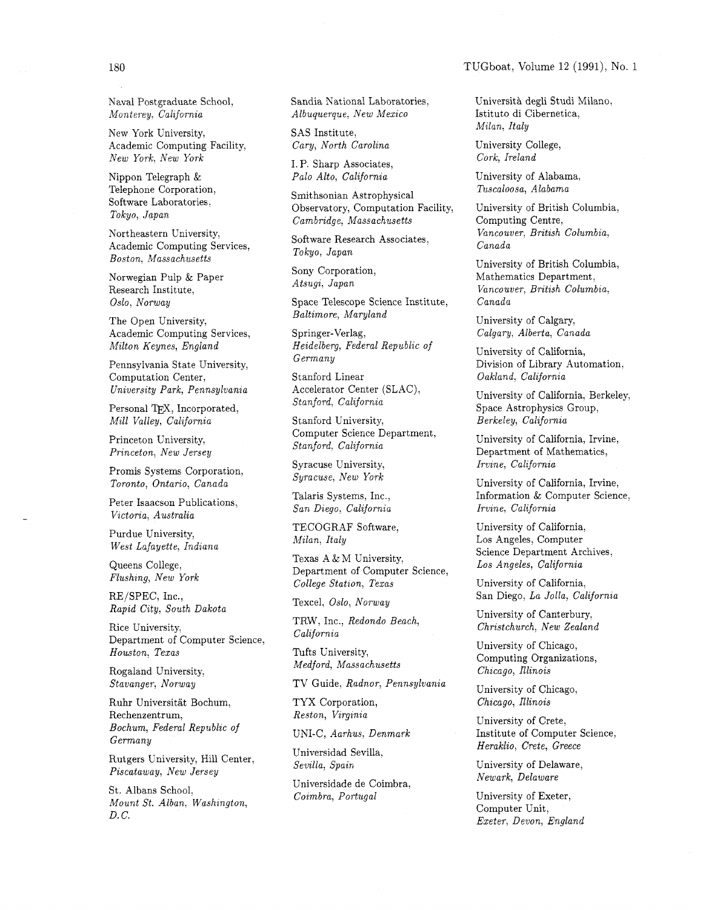TUGboat, Volume 12 (1991), No. 1

180

Naval Postgraduate School, Monterey, California

New York University, Academic Computing Facility, New York, New York

Nippon Telegraph & Telephone Corporation, Software Laboratories, Tokyo, Japan

Northeastern University, Academic Computing Services, Boston, Massachusetts

Norwegian Pulp & Paper Research Institute: Oslo, Norway

The Open University, Academic Computing Services, Milton Keynes, England

Pennsylvania State University, Computation Center, University Park, Pennsylvania

Personal TFX, Incorporated, Mill Valley, California

Princeton University, Princeton, New Jersey

Promis Systems Corporation, Toronto, Ontario, Canada University of California, Irvine,

Peter Isaacson Publications,<br>
San Diego, California Victoria, Australia

Purdue University, West Lafayette, Indiana

Queens College, Flushing, New York

RE/SPEC, Inc., Rapid City, South Dakota

Rice University, and the University, the Rice University, and the University of the Department of Computer Science,  $\sigma$ 

Rogaland University,

Ruhr Universität Bochum, TYX Corporation, Chicago, Illinois<br>Rechenzentrum, Reston, Virginia Theorem (Chicago, Illinois Rechenzentrum, Bochum, Federal Republic of Germany

Rutgers University, Hill Center, Sevilla, Spain. Rutgers University, Hill Center, Sevilla, Spain University of Delaware,<br>Piscataway, New Jersey Menach Chapter of Menach Menach, Delaware

St. Albans School,<br>
Coimbra, Portugal<br>
Coimbra, Portugal Mount St. Alban, Washington, D. C.

Sandia National Laboratories, Albuquerque: New Mexico

SAS Institute,

I. P. Sharp Associates,<br>Palo Alto. California

Smithsonian Astrophysical Observatory, Computation Facility, Cambridge, Massachusetts

Software Research Associates, Tokyo, Japan

Sony Corporation,<br>Atsugi, Japan

Space Telescope Science Institute, Baltimore, Maryland University of Calgary,

Heidelberg, Federal Republic of Hermany Germany Chiversity of California,

Stanford Linear  $Oakland, California$ Accelerator Center (SLAC),

Stanford University, Computer Science Department, Computer Science Department,<br>
Stanford, California Computer Computer Computer California, Irvine,

Syracuse University, Fruine, California<br>
Syracuse, New York Theory (California

Talaris Systems, Inc.,

TECOGRAF Software, Milan, Italy

Texas A & M University, Department of Computer Science, College Station, Texas

TRW, Inc., Redondo Beach,<br>California Christchurch, New Zealand

Tufts University,

Stavanger, Norway TV Guide, Radnor, Pennsylvania University of Chicago,

TYX Corporation,

UNI-C, Aarhus, Denmark

Universidad Sevilla,

Universidade de Coimbra,

Università degli Studi Milano, Istituto di Cibernetica, Milan, Italy

Cary, North Carolina University College,

University of Alabama,<br>Tuscaloosa, Alabama

University of British Columbia, Computing Centre, Vancouver, British Columbia, Canada

University of British Columbia, Mathematics Department, Vancouver, British Columbia, Canada

Springer-Verlag, Calgary, Alberta, Canada

Division of Library Automation.

Accelerator Cellier (SLAC),<br>Stanford, California Contractor Contractor Contractor Contractor Contractor Contractor Contractor Contractor Contractor Contractor Contractor Contractor Contractor Contractor Contractor Contract Space Astrophysics Group, Berkeley, California

Department of Mathematics,

Information & Computer Science, Irvine, California

University of California, Los Angeles, Computer Science Department Archives, Los Angeles, California

University of California, San Diego, La Jolla, California Texcel, Oslo, Norway

University of Canterbury,

Department of Computer Science,<br>
Houston, Texas Tufts University, University of Chicago,<br>
Medford, Massachusetts Chicago, University of Chicago, Computing Organizations, Chicago, Illinois

University of Crete, Institute of Computer Science, Heraklio, Crete, Greece

University of Exeter, Computer Unit, Exeter, Devon, England